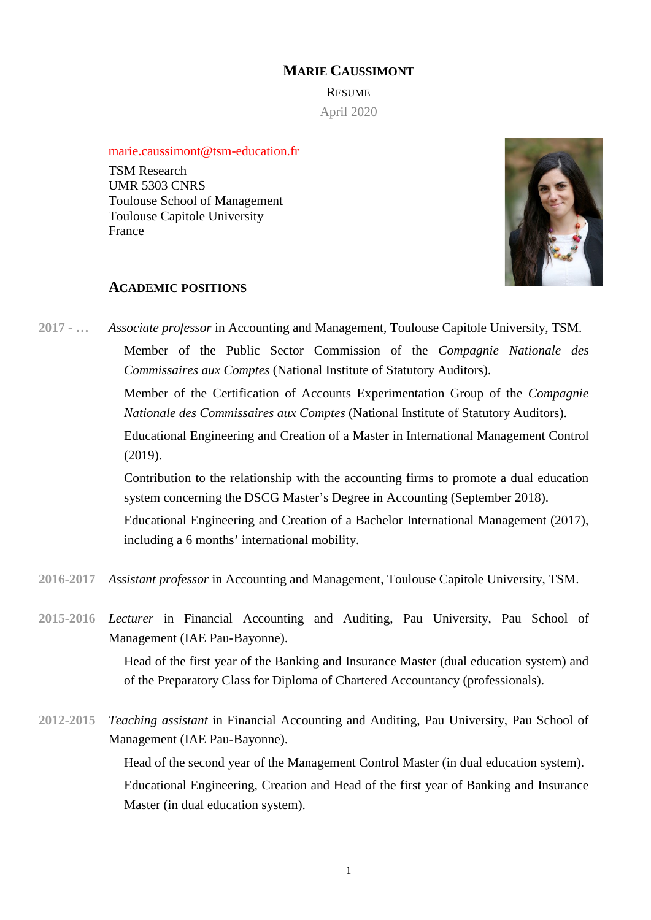# **MARIE CAUSSIMONT**

**RESUME** April 2020

marie.caussimont@tsm-education.fr

TSM Research UMR 5303 CNRS Toulouse School of Management Toulouse Capitole University France



### **ACADEMIC POSITIONS**

**2017 - …** *Associate professor* in Accounting and Management, Toulouse Capitole University, TSM. Member of the Public Sector Commission of the *Compagnie Nationale des Commissaires aux Comptes* (National Institute of Statutory Auditors).

> Member of the Certification of Accounts Experimentation Group of the *Compagnie Nationale des Commissaires aux Comptes* (National Institute of Statutory Auditors).

> Educational Engineering and Creation of a Master in International Management Control (2019).

> Contribution to the relationship with the accounting firms to promote a dual education system concerning the DSCG Master's Degree in Accounting (September 2018).

> Educational Engineering and Creation of a Bachelor International Management (2017), including a 6 months' international mobility.

- **2016-2017** *Assistant professor* in Accounting and Management, Toulouse Capitole University, TSM.
- **2015-2016** *Lecturer* in Financial Accounting and Auditing, Pau University, Pau School of Management (IAE Pau-Bayonne).

Head of the first year of the Banking and Insurance Master (dual education system) and of the Preparatory Class for Diploma of Chartered Accountancy (professionals).

**2012-2015** *Teaching assistant* in Financial Accounting and Auditing, Pau University, Pau School of Management (IAE Pau-Bayonne).

> Head of the second year of the Management Control Master (in dual education system). Educational Engineering, Creation and Head of the first year of Banking and Insurance Master (in dual education system).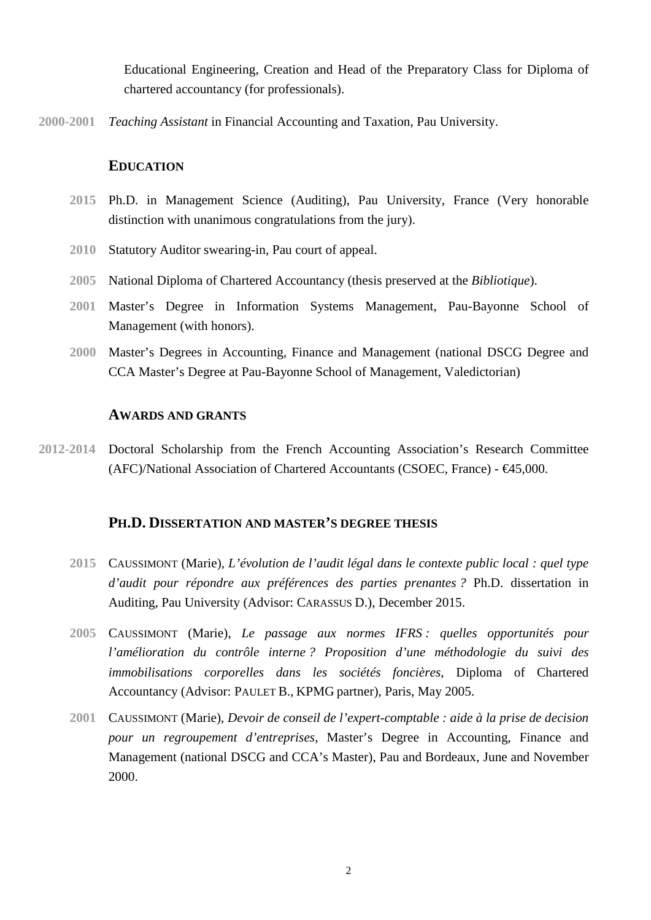Educational Engineering, Creation and Head of the Preparatory Class for Diploma of chartered accountancy (for professionals).

**2000-2001** *Teaching Assistant* in Financial Accounting and Taxation, Pau University.

## **EDUCATION**

- **2015** Ph.D. in Management Science (Auditing), Pau University, France (Very honorable distinction with unanimous congratulations from the jury).
- **2010** Statutory Auditor swearing-in, Pau court of appeal.
- **2005** National Diploma of Chartered Accountancy (thesis preserved at the *Bibliotique*).
- **2001** Master's Degree in Information Systems Management, Pau-Bayonne School of Management (with honors).
- **2000** Master's Degrees in Accounting, Finance and Management (national DSCG Degree and CCA Master's Degree at Pau-Bayonne School of Management, Valedictorian)

### **AWARDS AND GRANTS**

**2012-2014** Doctoral Scholarship from the French Accounting Association's Research Committee (AFC)/National Association of Chartered Accountants (CSOEC, France) - €45,000.

## **PH.D. DISSERTATION AND MASTER'S DEGREE THESIS**

- **2015** CAUSSIMONT (Marie), *L'évolution de l'audit légal dans le contexte public local : quel type d'audit pour répondre aux préférences des parties prenantes ?* Ph.D. dissertation in Auditing, Pau University (Advisor: CARASSUS D.), December 2015.
- **2005** CAUSSIMONT (Marie), *Le passage aux normes IFRS : quelles opportunités pour l'amélioration du contrôle interne ? Proposition d'une méthodologie du suivi des immobilisations corporelles dans les sociétés foncières*, Diploma of Chartered Accountancy (Advisor: PAULET B., KPMG partner), Paris, May 2005.
- **2001** CAUSSIMONT (Marie), *Devoir de conseil de l'expert-comptable : aide à la prise de decision pour un regroupement d'entreprises*, Master's Degree in Accounting, Finance and Management (national DSCG and CCA's Master), Pau and Bordeaux, June and November 2000.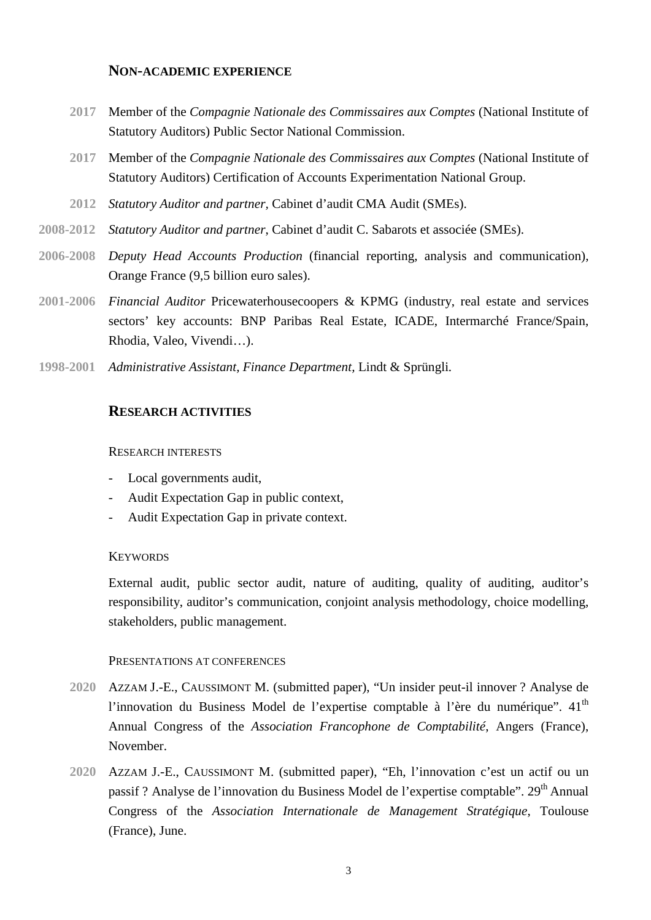## **NON-ACADEMIC EXPERIENCE**

- **2017** Member of the *Compagnie Nationale des Commissaires aux Comptes* (National Institute of Statutory Auditors) Public Sector National Commission.
- **2017** Member of the *Compagnie Nationale des Commissaires aux Comptes* (National Institute of Statutory Auditors) Certification of Accounts Experimentation National Group.
- **2012** *Statutory Auditor and partner,* Cabinet d'audit CMA Audit (SMEs).
- **2008-2012** *Statutory Auditor and partner*, Cabinet d'audit C. Sabarots et associée (SMEs).
- **2006-2008** *Deputy Head Accounts Production* (financial reporting, analysis and communication), Orange France (9,5 billion euro sales).
- **2001-2006** *Financial Auditor* Pricewaterhousecoopers & KPMG (industry, real estate and services sectors' key accounts: BNP Paribas Real Estate, ICADE, Intermarché France/Spain, Rhodia, Valeo, Vivendi…).
- **1998-2001** *Administrative Assistant, Finance Department,* Lindt & Sprüngli*.*

## **RESEARCH ACTIVITIES**

#### RESEARCH INTERESTS

- Local governments audit,
- Audit Expectation Gap in public context,
- Audit Expectation Gap in private context.

### **KEYWORDS**

External audit, public sector audit, nature of auditing, quality of auditing, auditor's responsibility, auditor's communication, conjoint analysis methodology, choice modelling, stakeholders, public management.

#### PRESENTATIONS AT CONFERENCES

- **2020** AZZAM J.-E., CAUSSIMONT M. (submitted paper), "Un insider peut-il innover ? Analyse de l'innovation du Business Model de l'expertise comptable à l'ère du numérique".  $41<sup>th</sup>$ Annual Congress of the *Association Francophone de Comptabilité*, Angers (France), November.
- **2020** AZZAM J.-E., CAUSSIMONT M. (submitted paper), "Eh, l'innovation c'est un actif ou un passif ? Analyse de l'innovation du Business Model de l'expertise comptable". 29<sup>th</sup> Annual Congress of the *Association Internationale de Management Stratégique*, Toulouse (France), June.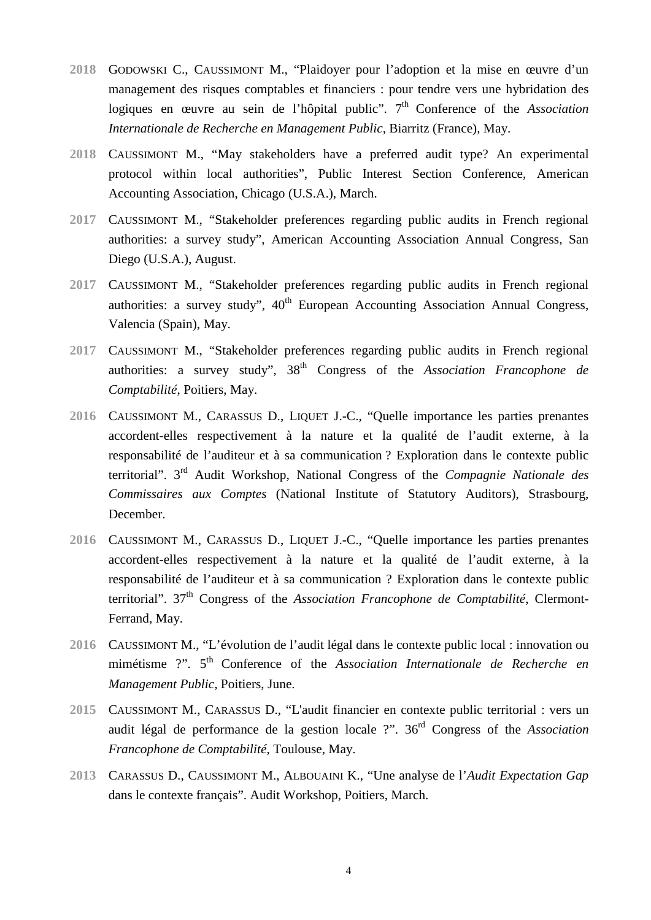- **2018** GODOWSKI C., CAUSSIMONT M., "Plaidoyer pour l'adoption et la mise en œuvre d'un management des risques comptables et financiers : pour tendre vers une hybridation des logiques en œuvre au sein de l'hôpital public". 7<sup>th</sup> Conference of the *Association Internationale de Recherche en Management Public*, Biarritz (France), May.
- **2018** CAUSSIMONT M., "May stakeholders have a preferred audit type? An experimental protocol within local authorities", Public Interest Section Conference, American Accounting Association, Chicago (U.S.A.), March.
- **2017** CAUSSIMONT M., "Stakeholder preferences regarding public audits in French regional authorities: a survey study", American Accounting Association Annual Congress, San Diego (U.S.A.), August.
- **2017** CAUSSIMONT M., "Stakeholder preferences regarding public audits in French regional authorities: a survey study",  $40<sup>th</sup>$  European Accounting Association Annual Congress, Valencia (Spain), May.
- **2017** CAUSSIMONT M., "Stakeholder preferences regarding public audits in French regional authorities: a survey study", 38<sup>th</sup> Congress of the *Association Francophone de Comptabilité*, Poitiers, May.
- **2016** CAUSSIMONT M., CARASSUS D., LIQUET J.-C., "Quelle importance les parties prenantes accordent-elles respectivement à la nature et la qualité de l'audit externe, à la responsabilité de l'auditeur et à sa communication ? Exploration dans le contexte public territorial". 3rd Audit Workshop, National Congress of the *Compagnie Nationale des Commissaires aux Comptes* (National Institute of Statutory Auditors), Strasbourg, December.
- **2016** CAUSSIMONT M., CARASSUS D., LIQUET J.-C., "Quelle importance les parties prenantes accordent-elles respectivement à la nature et la qualité de l'audit externe, à la responsabilité de l'auditeur et à sa communication ? Exploration dans le contexte public territorial". 37th Congress of the *Association Francophone de Comptabilité*, Clermont-Ferrand, May.
- **2016** CAUSSIMONT M., "L'évolution de l'audit légal dans le contexte public local : innovation ou mimétisme ?". 5<sup>th</sup> Conference of the *Association Internationale de Recherche en Management Public*, Poitiers, June.
- **2015** CAUSSIMONT M., CARASSUS D., "L'audit financier en contexte public territorial : vers un audit légal de performance de la gestion locale ?". 36rd Congress of the *Association Francophone de Comptabilité*, Toulouse, May.
- **2013** CARASSUS D., CAUSSIMONT M., ALBOUAINI K., "Une analyse de l'*Audit Expectation Gap* dans le contexte français". Audit Workshop, Poitiers, March.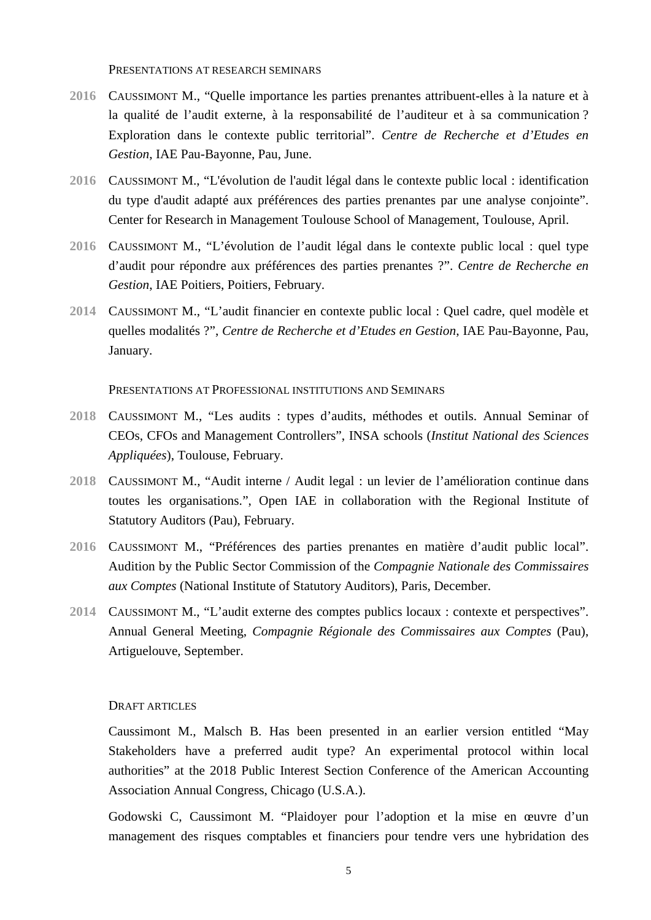PRESENTATIONS AT RESEARCH SEMINARS

- **2016** CAUSSIMONT M., "Quelle importance les parties prenantes attribuent-elles à la nature et à la qualité de l'audit externe, à la responsabilité de l'auditeur et à sa communication ? Exploration dans le contexte public territorial". *Centre de Recherche et d'Etudes en Gestion*, IAE Pau-Bayonne, Pau, June.
- **2016** CAUSSIMONT M., "L'évolution de l'audit légal dans le contexte public local : identification du type d'audit adapté aux préférences des parties prenantes par une analyse conjointe". Center for Research in Management Toulouse School of Management, Toulouse, April.
- **2016** CAUSSIMONT M., "L'évolution de l'audit légal dans le contexte public local : quel type d'audit pour répondre aux préférences des parties prenantes ?". *Centre de Recherche en Gestion*, IAE Poitiers, Poitiers, February.
- **2014** CAUSSIMONT M., "L'audit financier en contexte public local : Quel cadre, quel modèle et quelles modalités ?", *Centre de Recherche et d'Etudes en Gestion*, IAE Pau-Bayonne, Pau, January.

PRESENTATIONS AT PROFESSIONAL INSTITUTIONS AND SEMINARS

- **2018** CAUSSIMONT M., "Les audits : types d'audits, méthodes et outils. Annual Seminar of CEOs, CFOs and Management Controllers", INSA schools (*Institut National des Sciences Appliquées*), Toulouse, February.
- **2018** CAUSSIMONT M., "Audit interne / Audit legal : un levier de l'amélioration continue dans toutes les organisations.", Open IAE in collaboration with the Regional Institute of Statutory Auditors (Pau), February.
- **2016** CAUSSIMONT M., "Préférences des parties prenantes en matière d'audit public local". Audition by the Public Sector Commission of the *Compagnie Nationale des Commissaires aux Comptes* (National Institute of Statutory Auditors), Paris, December.
- **2014** CAUSSIMONT M., "L'audit externe des comptes publics locaux : contexte et perspectives". Annual General Meeting, *Compagnie Régionale des Commissaires aux Comptes* (Pau), Artiguelouve, September.

#### DRAFT ARTICLES

Caussimont M., Malsch B. Has been presented in an earlier version entitled "May Stakeholders have a preferred audit type? An experimental protocol within local authorities" at the 2018 Public Interest Section Conference of the American Accounting Association Annual Congress, Chicago (U.S.A.).

Godowski C, Caussimont M. "Plaidoyer pour l'adoption et la mise en œuvre d'un management des risques comptables et financiers pour tendre vers une hybridation des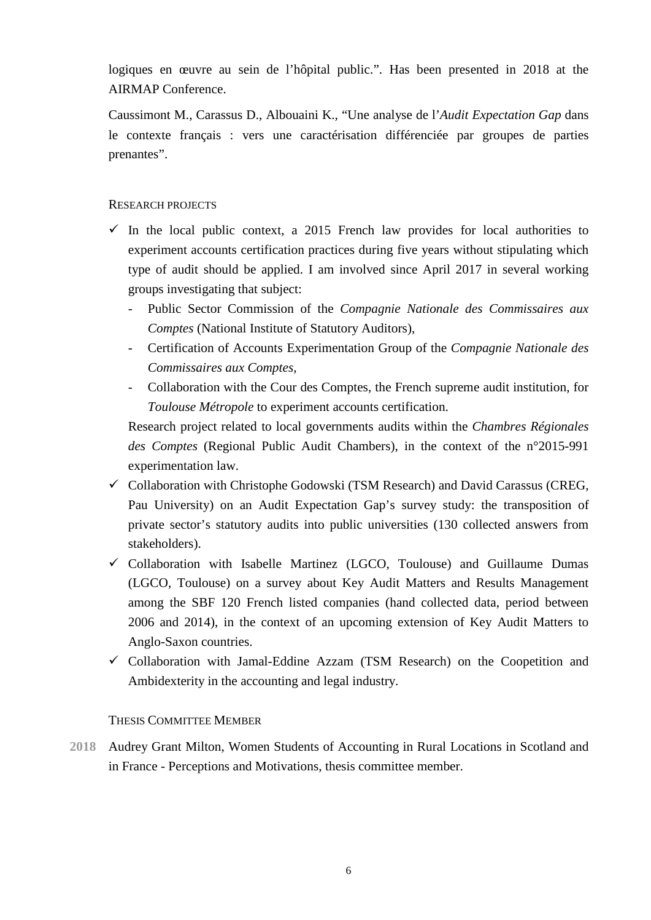logiques en œuvre au sein de l'hôpital public.". Has been presented in 2018 at the AIRMAP Conference.

Caussimont M., Carassus D., Albouaini K., "Une analyse de l'*Audit Expectation Gap* dans le contexte français : vers une caractérisation différenciée par groupes de parties prenantes".

# RESEARCH PROJECTS

- $\checkmark$  In the local public context, a 2015 French law provides for local authorities to experiment accounts certification practices during five years without stipulating which type of audit should be applied. I am involved since April 2017 in several working groups investigating that subject:
	- Public Sector Commission of the *Compagnie Nationale des Commissaires aux Comptes* (National Institute of Statutory Auditors),
	- Certification of Accounts Experimentation Group of the *Compagnie Nationale des Commissaires aux Comptes,*
	- Collaboration with the Cour des Comptes, the French supreme audit institution, for *Toulouse Métropole* to experiment accounts certification.

Research project related to local governments audits within the *Chambres Régionales des Comptes* (Regional Public Audit Chambers), in the context of the n°2015-991 experimentation law.

- $\checkmark$  Collaboration with Christophe Godowski (TSM Research) and David Carassus (CREG, Pau University) on an Audit Expectation Gap's survey study: the transposition of private sector's statutory audits into public universities (130 collected answers from stakeholders).
- $\checkmark$  Collaboration with Isabelle Martinez (LGCO, Toulouse) and Guillaume Dumas (LGCO, Toulouse) on a survey about Key Audit Matters and Results Management among the SBF 120 French listed companies (hand collected data, period between 2006 and 2014), in the context of an upcoming extension of Key Audit Matters to Anglo-Saxon countries.
- $\checkmark$  Collaboration with Jamal-Eddine Azzam (TSM Research) on the Coopetition and Ambidexterity in the accounting and legal industry.

## THESIS COMMITTEE MEMBER

**2018** Audrey Grant Milton, Women Students of Accounting in Rural Locations in Scotland and in France - Perceptions and Motivations, thesis committee member.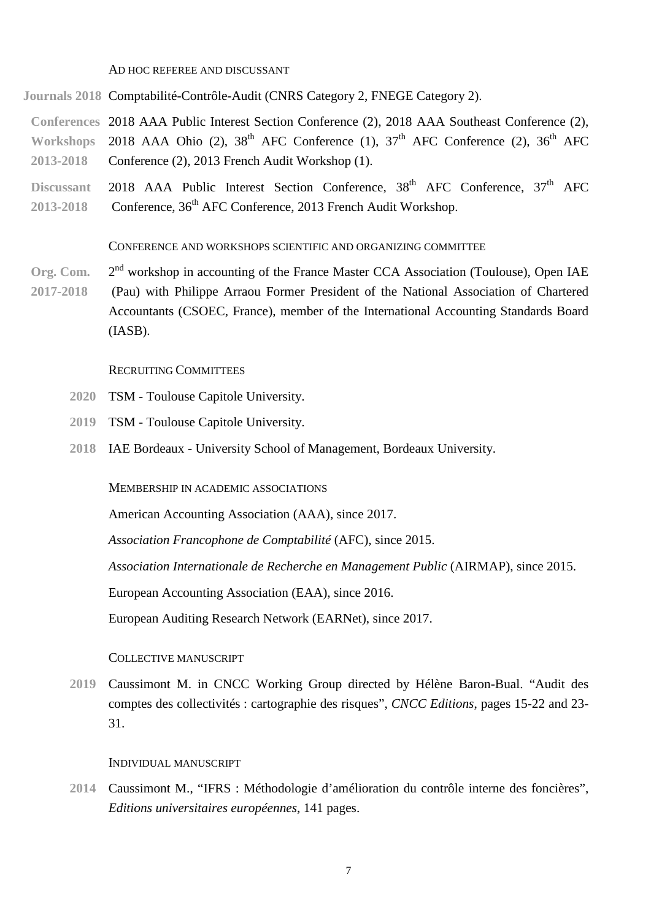AD HOC REFEREE AND DISCUSSANT

**Journals 2018** Comptabilité-Contrôle-Audit (CNRS Category 2, FNEGE Category 2).

**Conferences** 2018 AAA Public Interest Section Conference (2), 2018 AAA Southeast Conference (2), Workshops 2018 AAA Ohio (2),  $38<sup>th</sup>$  AFC Conference (1),  $37<sup>th</sup>$  AFC Conference (2),  $36<sup>th</sup>$  AFC **2013-2018** Conference (2), 2013 French Audit Workshop (1).

Discussant 2018 AAA Public Interest Section Conference, 38<sup>th</sup> AFC Conference, 37<sup>th</sup> AFC 2013-2018 Conference, 36<sup>th</sup> AFC Conference, 2013 French Audit Workshop.

CONFERENCE AND WORKSHOPS SCIENTIFIC AND ORGANIZING COMMITTEE

Org. Com. 2<sup>nd</sup> workshop in accounting of the France Master CCA Association (Toulouse), Open IAE **2017-2018** (Pau) with Philippe Arraou Former President of the National Association of Chartered Accountants (CSOEC, France), member of the International Accounting Standards Board (IASB).

RECRUITING COMMITTEES

- **2020** TSM Toulouse Capitole University.
- **2019** TSM Toulouse Capitole University.
- **2018** IAE Bordeaux University School of Management, Bordeaux University.

MEMBERSHIP IN ACADEMIC ASSOCIATIONS

American Accounting Association (AAA), since 2017.

*Association Francophone de Comptabilité* (AFC), since 2015.

*Association Internationale de Recherche en Management Public* (AIRMAP), since 2015.

European Accounting Association (EAA), since 2016.

European Auditing Research Network (EARNet), since 2017.

### COLLECTIVE MANUSCRIPT

**2019** Caussimont M. in CNCC Working Group directed by Hélène Baron-Bual. "Audit des comptes des collectivités : cartographie des risques", *CNCC Editions*, pages 15-22 and 23- 31.

#### INDIVIDUAL MANUSCRIPT

**2014** Caussimont M., "IFRS : Méthodologie d'amélioration du contrôle interne des foncières", *Editions universitaires européennes*, 141 pages.